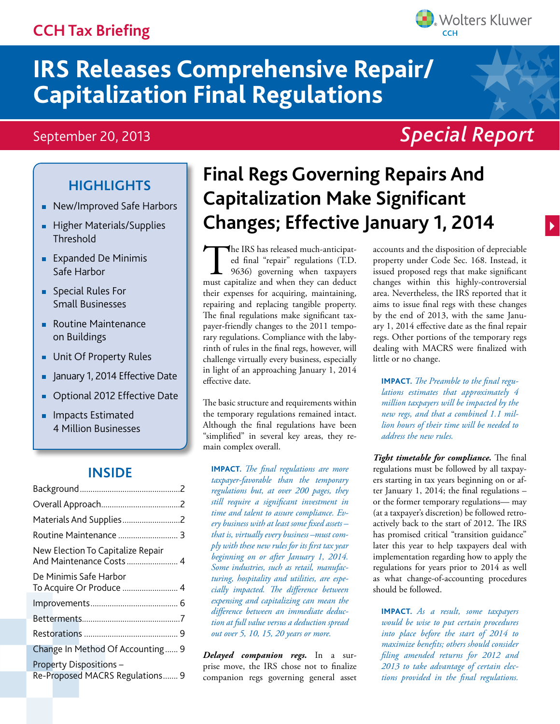# **CCH Tax Briefing**



# September 20, 2013

# *Special Report*

**Wolters Kluwer** 

# **Highlights**

- **New/Improved Safe Harbors**
- **Higher Materials/Supplies Threshold**
- **Expanded De Minimis** Safe Harbor
- **Special Rules For** Small Businesses
- Routine Maintenance on Buildings
- Unit Of Property Rules ×,
- January 1, 2014 Effective Date
- Optional 2012 Effective Date
- **Impacts Estimated** 4 Million Businesses

### **Inside**

| New Election To Capitalize Repair<br>And Maintenance Costs 4 |  |
|--------------------------------------------------------------|--|
| De Minimis Safe Harbor<br>To Acquire Or Produce  4           |  |
|                                                              |  |
|                                                              |  |
|                                                              |  |
| Change In Method Of Accounting 9                             |  |
| Property Dispositions-<br>Re-Proposed MACRS Regulations 9    |  |

# **Final Regs Governing Repairs And Capitalization Make Significant Changes; Effective January 1, 2014**

The IRS has released much-anticipated final "repair" regulations (T.D.<br>9636) governing when taxpayers<br>must capitalize and when they can deduct ed final "repair" regulations (T.D. 9636) governing when taxpayers must capitalize and when they can deduct their expenses for acquiring, maintaining, repairing and replacing tangible property. The final regulations make significant taxpayer-friendly changes to the 2011 temporary regulations. Compliance with the labyrinth of rules in the final regs, however, will challenge virtually every business, especially in light of an approaching January 1, 2014 effective date.

The basic structure and requirements within the temporary regulations remained intact. Although the final regulations have been "simplified" in several key areas, they remain complex overall.

**IMPACT.** *The final regulations are more taxpayer-favorable than the temporary regulations but, at over 200 pages, they still require a significant investment in time and talent to assure compliance. Every business with at least some fixed assets – that is, virtually every business –must comply with these new rules for its first tax year beginning on or after January 1, 2014. Some industries, such as retail, manufacturing, hospitality and utilities, are especially impacted. The difference between expensing and capitalizing can mean the difference between an immediate deduction at full value versus a deduction spread out over 5, 10, 15, 20 years or more.*

*Delayed companion regs.* In a surprise move, the IRS chose not to finalize companion regs governing general asset accounts and the disposition of depreciable property under Code Sec. 168. Instead, it issued proposed regs that make significant changes within this highly-controversial area. Nevertheless, the IRS reported that it aims to issue final regs with these changes by the end of 2013, with the same January 1, 2014 effective date as the final repair regs. Other portions of the temporary regs dealing with MACRS were finalized with little or no change.

**IMPACT.** *The Preamble to the final regulations estimates that approximately 4 million taxpayers will be impacted by the new regs, and that a combined 1.1 million hours of their time will be needed to address the new rules.* 

*Tight timetable for compliance.* The final regulations must be followed by all taxpayers starting in tax years beginning on or after January 1, 2014; the final regulations – or the former temporary regulations— may (at a taxpayer's discretion) be followed retroactively back to the start of 2012. The IRS has promised critical "transition guidance" later this year to help taxpayers deal with implementation regarding how to apply the regulations for years prior to 2014 as well as what change-of-accounting procedures should be followed.

**IMPACT.** *As a result, some taxpayers would be wise to put certain procedures into place before the start of 2014 to maximize benefits; others should consider filing amended returns for 2012 and 2013 to take advantage of certain elections provided in the final regulations.*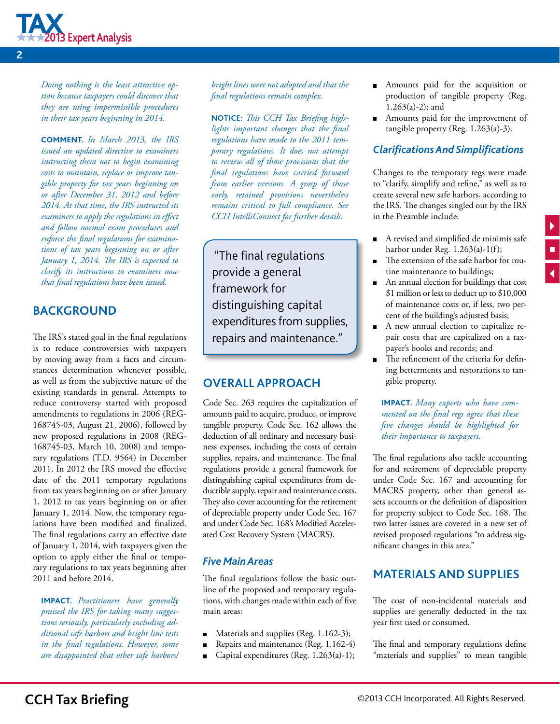<span id="page-1-0"></span>

*Doing nothing is the least attractive option because taxpayers could discover that they are using impermissible procedures in their tax years beginning in 2014.* 

**Comment.** *In March 2013, the IRS issued an updated directive to examiners instructing them not to begin examining costs to maintain, replace or improve tangible property for tax years beginning on or after December 31, 2012 and before 2014. At that time, the IRS instructed its examiners to apply the regulations in effect and follow normal exam procedures and enforce the final regulations for examinations of tax years beginning on or after January 1, 2014. The IRS is expected to clarify its instructions to examiners now that final regulations have been issued.* 

## **BACKGROUND**

The IRS's stated goal in the final regulations is to reduce controversies with taxpayers by moving away from a facts and circumstances determination whenever possible, as well as from the subjective nature of the existing standards in general. Attempts to reduce controversy started with proposed amendments to regulations in 2006 (REG-168745-03, August 21, 2006), followed by new proposed regulations in 2008 (REG-168745-03, March 10, 2008) and temporary regulations (T.D. 9564) in December 2011. In 2012 the IRS moved the effective date of the 2011 temporary regulations from tax years beginning on or after January 1, 2012 to tax years beginning on or after January 1, 2014. Now, the temporary regulations have been modified and finalized. The final regulations carry an effective date of January 1, 2014, with taxpayers given the option to apply either the final or temporary regulations to tax years beginning after 2011 and before 2014.

**IMPACT.** *Practitioners have generally praised the IRS for taking many suggestions seriously, particularly including additional safe harbors and bright line tests in the final regulations. However, some are disappointed that other safe harbors/*

*bright lines were not adopted and that the final regulations remain complex.*

**Notice:** *This CCH Tax Briefing highlights important changes that the final regulations have made to the 2011 temporary regulations. It does not attempt to review all of those provisions that the final regulations have carried forward from earlier versions. A grasp of those early, retained provisions nevertheless remains critical to full compliance. See CCH IntelliConnect for further details.*

"The final regulations provide a general framework for distinguishing capital expenditures from supplies, repairs and maintenance."

### **OVERALL APPROACH**

Code Sec. 263 requires the capitalization of amounts paid to acquire, produce, or improve tangible property. Code Sec. 162 allows the deduction of all ordinary and necessary business expenses, including the costs of certain supplies, repairs, and maintenance. The final regulations provide a general framework for distinguishing capital expenditures from deductible supply, repair and maintenance costs. They also cover accounting for the retirement of depreciable property under Code Sec. 167 and under Code Sec. 168's Modified Accelerated Cost Recovery System (MACRS).

#### *Five Main Areas*

The final regulations follow the basic outline of the proposed and temporary regulations, with changes made within each of five main areas:

- Materials and supplies (Reg. 1.162-3);  $\blacksquare$
- Repairs and maintenance (Reg. 1.162-4)
- Capital expenditures (Reg. 1.263(a)-1);  $\blacksquare$
- Amounts paid for the acquisition or production of tangible property (Reg. 1.263(a)-2); and
- Amounts paid for the improvement of tangible property (Reg. 1.263(a)-3).

#### *Clarifications And Simplifications*

Changes to the temporary regs were made to "clarify, simplify and refine," as well as to create several new safe harbors, according to the IRS. The changes singled out by the IRS in the Preamble include:

- A revised and simplified de minimis safe harbor under Reg. 1.263(a)-1(f);
- The extension of the safe harbor for routine maintenance to buildings;
- An annual election for buildings that cost \$1 million or less to deduct up to \$10,000 of maintenance costs or, if less, two percent of the building's adjusted basis;
- A new annual election to capitalize repair costs that are capitalized on a taxpayer's books and records; and
- The refinement of the criteria for defining betterments and restorations to tangible property.

**IMPACT.** *Many experts who have commented on the final regs agree that these five changes should be highlighted for their importance to taxpayers.* 

The final regulations also tackle accounting for and retirement of depreciable property under Code Sec. 167 and accounting for MACRS property, other than general assets accounts or the definition of disposition for property subject to Code Sec. 168. The two latter issues are covered in a new set of revised proposed regulations "to address significant changes in this area."

#### **MATERIALS AND SUPPLIES**

The cost of non-incidental materials and supplies are generally deducted in the tax year first used or consumed.

The final and temporary regulations define "materials and supplies" to mean tangible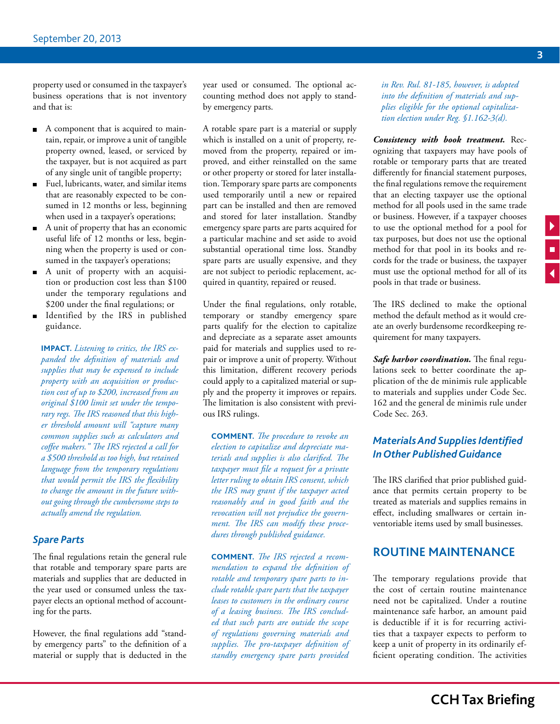<span id="page-2-0"></span>property used or consumed in the taxpayer's business operations that is not inventory and that is:

- A component that is acquired to maintain, repair, or improve a unit of tangible property owned, leased, or serviced by the taxpayer, but is not acquired as part of any single unit of tangible property;
- Fuel, lubricants, water, and similar items that are reasonably expected to be consumed in 12 months or less, beginning when used in a taxpayer's operations;
- A unit of property that has an economic useful life of 12 months or less, beginning when the property is used or consumed in the taxpayer's operations;
- A unit of property with an acquisition or production cost less than \$100 under the temporary regulations and \$200 under the final regulations; or
- Identified by the IRS in published guidance.

**IMPACT.** *Listening to critics, the IRS expanded the definition of materials and supplies that may be expensed to include property with an acquisition or production cost of up to \$200, increased from an original \$100 limit set under the temporary regs. The IRS reasoned that this higher threshold amount will "capture many common supplies such as calculators and coffee makers." The IRS rejected a call for a \$500 threshold as too high, but retained language from the temporary regulations that would permit the IRS the flexibility to change the amount in the future without going through the cumbersome steps to actually amend the regulation.*

#### *Spare Parts*

The final regulations retain the general rule that rotable and temporary spare parts are materials and supplies that are deducted in the year used or consumed unless the taxpayer elects an optional method of accounting for the parts.

However, the final regulations add "standby emergency parts" to the definition of a material or supply that is deducted in the year used or consumed. The optional accounting method does not apply to standby emergency parts.

A rotable spare part is a material or supply which is installed on a unit of property, removed from the property, repaired or improved, and either reinstalled on the same or other property or stored for later installation. Temporary spare parts are components used temporarily until a new or repaired part can be installed and then are removed and stored for later installation. Standby emergency spare parts are parts acquired for a particular machine and set aside to avoid substantial operational time loss. Standby spare parts are usually expensive, and they are not subject to periodic replacement, acquired in quantity, repaired or reused.

Under the final regulations, only rotable, temporary or standby emergency spare parts qualify for the election to capitalize and depreciate as a separate asset amounts paid for materials and supplies used to repair or improve a unit of property. Without this limitation, different recovery periods could apply to a capitalized material or supply and the property it improves or repairs. The limitation is also consistent with previous IRS rulings.

**Comment.** *The procedure to revoke an election to capitalize and depreciate materials and supplies is also clarified. The taxpayer must file a request for a private letter ruling to obtain IRS consent, which the IRS may grant if the taxpayer acted reasonably and in good faith and the revocation will not prejudice the government. The IRS can modify these procedures through published guidance.*

**Comment.** *The IRS rejected a recommendation to expand the definition of rotable and temporary spare parts to include rotable spare parts that the taxpayer leases to customers in the ordinary course of a leasing business. The IRS concluded that such parts are outside the scope of regulations governing materials and supplies. The pro-taxpayer definition of standby emergency spare parts provided* 

*in Rev. Rul. 81-185, however, is adopted into the definition of materials and supplies eligible for the optional capitalization election under Reg. §1.162-3(d).* 

*Consistency with book treatment.* Recognizing that taxpayers may have pools of rotable or temporary parts that are treated differently for financial statement purposes, the final regulations remove the requirement that an electing taxpayer use the optional method for all pools used in the same trade or business. However, if a taxpayer chooses to use the optional method for a pool for tax purposes, but does not use the optional method for that pool in its books and records for the trade or business, the taxpayer must use the optional method for all of its pools in that trade or business.

The IRS declined to make the optional method the default method as it would create an overly burdensome recordkeeping requirement for many taxpayers.

*Safe harbor coordination.* The final regulations seek to better coordinate the application of the de minimis rule applicable to materials and supplies under Code Sec. 162 and the general de minimis rule under Code Sec. 263.

#### *Materials And Supplies Identified In Other Published Guidance*

The IRS clarified that prior published guidance that permits certain property to be treated as materials and supplies remains in effect, including smallwares or certain inventoriable items used by small businesses.

#### **ROUTINE MAINTENANCE**

The temporary regulations provide that the cost of certain routine maintenance need not be capitalized. Under a routine maintenance safe harbor, an amount paid is deductible if it is for recurring activities that a taxpayer expects to perform to keep a unit of property in its ordinarily efficient operating condition. The activities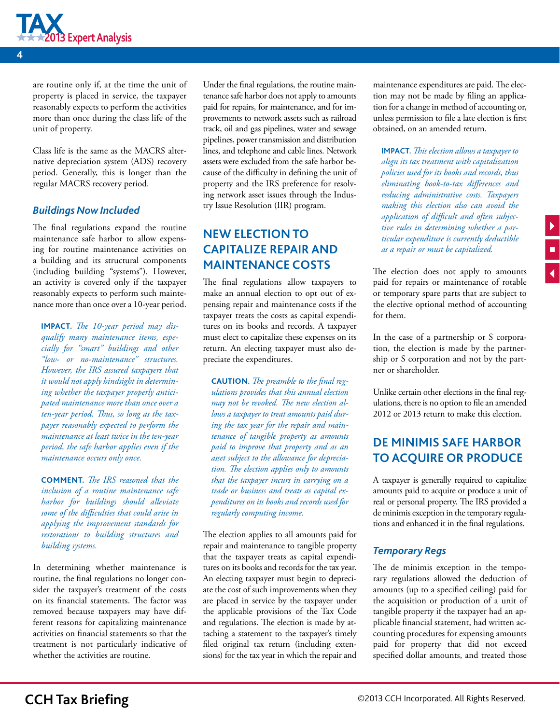<span id="page-3-0"></span>

are routine only if, at the time the unit of property is placed in service, the taxpayer reasonably expects to perform the activities more than once during the class life of the unit of property.

Class life is the same as the MACRS alternative depreciation system (ADS) recovery period. Generally, this is longer than the regular MACRS recovery period.

#### *Buildings Now Included*

The final regulations expand the routine maintenance safe harbor to allow expensing for routine maintenance activities on a building and its structural components (including building "systems"). However, an activity is covered only if the taxpayer reasonably expects to perform such maintenance more than once over a 10-year period.

**IMPACT.** *The 10-year period may disqualify many maintenance items, especially for "smart" buildings and other "low- or no-maintenance" structures. However, the IRS assured taxpayers that it would not apply hindsight in determining whether the taxpayer properly anticipated maintenance more than once over a ten-year period. Thus, so long as the taxpayer reasonably expected to perform the maintenance at least twice in the ten-year period, the safe harbor applies even if the maintenance occurs only once.*

**Comment.** *The IRS reasoned that the inclusion of a routine maintenance safe harbor for buildings should alleviate some of the difficulties that could arise in applying the improvement standards for restorations to building structures and building systems.*

In determining whether maintenance is routine, the final regulations no longer consider the taxpayer's treatment of the costs on its financial statements. The factor was removed because taxpayers may have different reasons for capitalizing maintenance activities on financial statements so that the treatment is not particularly indicative of whether the activities are routine.

Under the final regulations, the routine maintenance safe harbor does not apply to amounts paid for repairs, for maintenance, and for improvements to network assets such as railroad track, oil and gas pipelines, water and sewage pipelines, power transmission and distribution lines, and telephone and cable lines. Network assets were excluded from the safe harbor because of the difficulty in defining the unit of property and the IRS preference for resolving network asset issues through the Industry Issue Resolution (IIR) program.

# **NEW ELECTION TO CAPITALIZE REPAIR AND MAINTENANCE COSTS**

The final regulations allow taxpayers to make an annual election to opt out of expensing repair and maintenance costs if the taxpayer treats the costs as capital expenditures on its books and records. A taxpayer must elect to capitalize these expenses on its return. An electing taxpayer must also depreciate the expenditures.

**CAUTION.** The preamble to the final reg*ulations provides that this annual election may not be revoked. The new election allows a taxpayer to treat amounts paid during the tax year for the repair and maintenance of tangible property as amounts paid to improve that property and as an asset subject to the allowance for depreciation. The election applies only to amounts that the taxpayer incurs in carrying on a trade or business and treats as capital expenditures on its books and records used for regularly computing income.* 

The election applies to all amounts paid for repair and maintenance to tangible property that the taxpayer treats as capital expenditures on its books and records for the tax year. An electing taxpayer must begin to depreciate the cost of such improvements when they are placed in service by the taxpayer under the applicable provisions of the Tax Code and regulations. The election is made by attaching a statement to the taxpayer's timely filed original tax return (including extensions) for the tax year in which the repair and maintenance expenditures are paid. The election may not be made by filing an application for a change in method of accounting or, unless permission to file a late election is first obtained, on an amended return.

**IMPACT.** *This election allows a taxpayer to align its tax treatment with capitalization policies used for its books and records, thus eliminating book-to-tax differences and reducing administrative costs. Taxpayers making this election also can avoid the application of difficult and often subjective rules in determining whether a particular expenditure is currently deductible as a repair or must be capitalized.*

The election does not apply to amounts paid for repairs or maintenance of rotable or temporary spare parts that are subject to the elective optional method of accounting for them.

In the case of a partnership or S corporation, the election is made by the partnership or S corporation and not by the partner or shareholder.

Unlike certain other elections in the final regulations, there is no option to file an amended 2012 or 2013 return to make this election.

# **DE MINIMIS SAFE HARBOR TO ACQUIRE OR PRODUCE**

A taxpayer is generally required to capitalize amounts paid to acquire or produce a unit of real or personal property. The IRS provided a de minimis exception in the temporary regulations and enhanced it in the final regulations.

#### *Temporary Regs*

The de minimis exception in the temporary regulations allowed the deduction of amounts (up to a specified ceiling) paid for the acquisition or production of a unit of tangible property if the taxpayer had an applicable financial statement, had written accounting procedures for expensing amounts paid for property that did not exceed specified dollar amounts, and treated those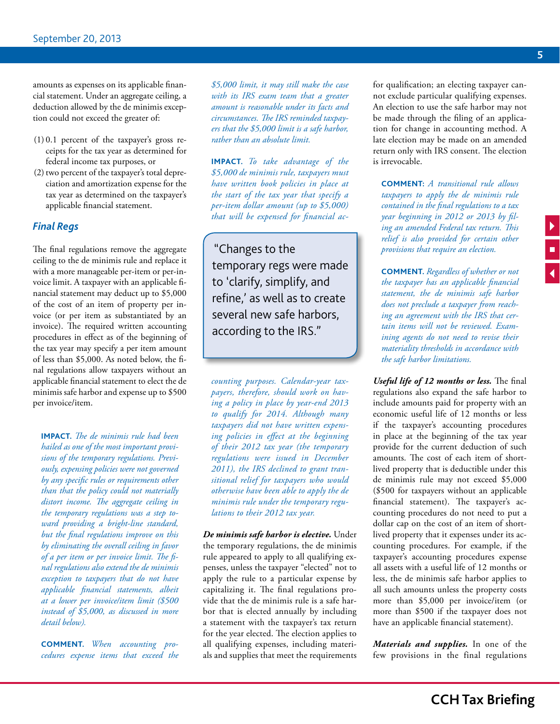amounts as expenses on its applicable financial statement. Under an aggregate ceiling, a deduction allowed by the de minimis exception could not exceed the greater of:

- (1) 0.1 percent of the taxpayer's gross receipts for the tax year as determined for federal income tax purposes, or
- (2) two percent of the taxpayer's total depreciation and amortization expense for the tax year as determined on the taxpayer's applicable financial statement.

#### *Final Regs*

The final regulations remove the aggregate ceiling to the de minimis rule and replace it with a more manageable per-item or per-invoice limit. A taxpayer with an applicable financial statement may deduct up to \$5,000 of the cost of an item of property per invoice (or per item as substantiated by an invoice). The required written accounting procedures in effect as of the beginning of the tax year may specify a per item amount of less than \$5,000. As noted below, the final regulations allow taxpayers without an applicable financial statement to elect the de minimis safe harbor and expense up to \$500 per invoice/item.

**IMPACT.** *The de minimis rule had been hailed as one of the most important provisions of the temporary regulations. Previously, expensing policies were not governed by any specific rules or requirements other than that the policy could not materially distort income. The aggregate ceiling in the temporary regulations was a step toward providing a bright-line standard, but the final regulations improve on this by eliminating the overall ceiling in favor of a per item or per invoice limit. The final regulations also extend the de minimis exception to taxpayers that do not have applicable financial statements, albeit at a lower per invoice/item limit (\$500 instead of \$5,000, as discussed in more detail below).*

**Comment.** *When accounting procedures expense items that exceed the*  *\$5,000 limit, it may still make the case with its IRS exam team that a greater amount is reasonable under its facts and circumstances. The IRS reminded taxpayers that the \$5,000 limit is a safe harbor, rather than an absolute limit.* 

**IMPACT.** *To take advantage of the \$5,000 de minimis rule, taxpayers must have written book policies in place at the start of the tax year that specify a per-item dollar amount (up to \$5,000) that will be expensed for financial ac-*

"Changes to the temporary regs were made to 'clarify, simplify, and refine,' as well as to create several new safe harbors, according to the IRS."

*counting purposes. Calendar-year taxpayers, therefore, should work on having a policy in place by year-end 2013 to qualify for 2014. Although many taxpayers did not have written expensing policies in effect at the beginning of their 2012 tax year (the temporary regulations were issued in December 2011), the IRS declined to grant transitional relief for taxpayers who would otherwise have been able to apply the de minimis rule under the temporary regulations to their 2012 tax year.*

*De minimis safe harbor is elective.* Under the temporary regulations, the de minimis rule appeared to apply to all qualifying expenses, unless the taxpayer "elected" not to apply the rule to a particular expense by capitalizing it. The final regulations provide that the de minimis rule is a safe harbor that is elected annually by including a statement with the taxpayer's tax return for the year elected. The election applies to all qualifying expenses, including materials and supplies that meet the requirements

for qualification; an electing taxpayer cannot exclude particular qualifying expenses. An election to use the safe harbor may not be made through the filing of an application for change in accounting method. A late election may be made on an amended return only with IRS consent. The election is irrevocable.

**Comment:** *A transitional rule allows taxpayers to apply the de minimis rule contained in the final regulations to a tax year beginning in 2012 or 2013 by filing an amended Federal tax return. This relief is also provided for certain other provisions that require an election.*

**Comment.** *Regardless of whether or not the taxpayer has an applicable financial statement, the de minimis safe harbor does not preclude a taxpayer from reaching an agreement with the IRS that certain items will not be reviewed. Examining agents do not need to revise their materiality thresholds in accordance with the safe harbor limitations.*

*Useful life of 12 months or less.* The final regulations also expand the safe harbor to include amounts paid for property with an economic useful life of 12 months or less if the taxpayer's accounting procedures in place at the beginning of the tax year provide for the current deduction of such amounts. The cost of each item of shortlived property that is deductible under this de minimis rule may not exceed \$5,000 (\$500 for taxpayers without an applicable financial statement). The taxpayer's accounting procedures do not need to put a dollar cap on the cost of an item of shortlived property that it expenses under its accounting procedures. For example, if the taxpayer's accounting procedures expense all assets with a useful life of 12 months or less, the de minimis safe harbor applies to all such amounts unless the property costs more than \$5,000 per invoice/item (or more than \$500 if the taxpayer does not have an applicable financial statement).

*Materials and supplies.* In one of the few provisions in the final regulations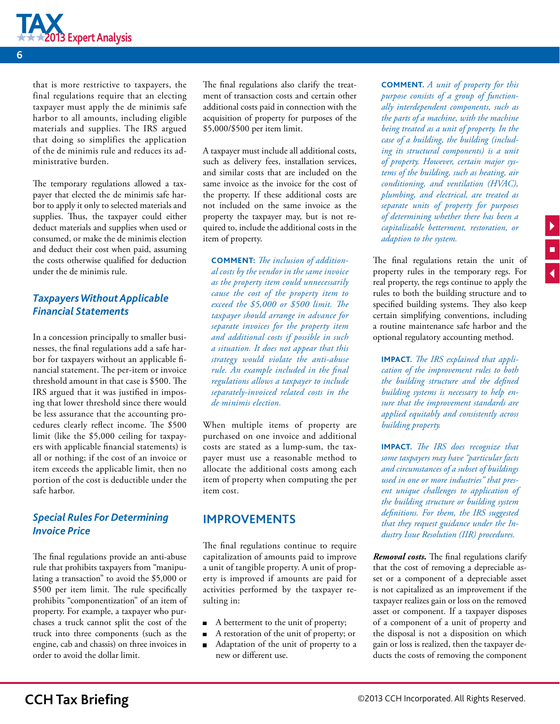<span id="page-5-0"></span>

that is more restrictive to taxpayers, the final regulations require that an electing taxpayer must apply the de minimis safe harbor to all amounts, including eligible materials and supplies. The IRS argued that doing so simplifies the application of the de minimis rule and reduces its administrative burden.

The temporary regulations allowed a taxpayer that elected the de minimis safe harbor to apply it only to selected materials and supplies. Thus, the taxpayer could either deduct materials and supplies when used or consumed, or make the de minimis election and deduct their cost when paid, assuming the costs otherwise qualified for deduction under the de minimis rule.

#### *Taxpayers Without Applicable Financial Statements*

In a concession principally to smaller businesses, the final regulations add a safe harbor for taxpayers without an applicable financial statement. The per-item or invoice threshold amount in that case is \$500. The IRS argued that it was justified in imposing that lower threshold since there would be less assurance that the accounting procedures clearly reflect income. The \$500 limit (like the \$5,000 ceiling for taxpayers with applicable financial statements) is all or nothing; if the cost of an invoice or item exceeds the applicable limit, then no portion of the cost is deductible under the safe harbor.

#### *Special Rules For Determining Invoice Price*

The final regulations provide an anti-abuse rule that prohibits taxpayers from "manipulating a transaction" to avoid the \$5,000 or \$500 per item limit. The rule specifically prohibits "componentization" of an item of property. For example, a taxpayer who purchases a truck cannot split the cost of the truck into three components (such as the engine, cab and chassis) on three invoices in order to avoid the dollar limit.

The final regulations also clarify the treatment of transaction costs and certain other additional costs paid in connection with the acquisition of property for purposes of the \$5,000/\$500 per item limit.

A taxpayer must include all additional costs, such as delivery fees, installation services, and similar costs that are included on the same invoice as the invoice for the cost of the property. If these additional costs are not included on the same invoice as the property the taxpayer may, but is not required to, include the additional costs in the item of property.

**COMMENT:** *The inclusion of additional costs by the vendor in the same invoice as the property item could unnecessarily cause the cost of the property item to exceed the \$5,000 or \$500 limit. The taxpayer should arrange in advance for separate invoices for the property item and additional costs if possible in such a situation. It does not appear that this strategy would violate the anti-abuse rule. An example included in the final regulations allows a taxpayer to include separately-invoiced related costs in the de minimis election.*

When multiple items of property are purchased on one invoice and additional costs are stated as a lump-sum, the taxpayer must use a reasonable method to allocate the additional costs among each item of property when computing the per item cost.

#### **IMPROVEMENTS**

The final regulations continue to require capitalization of amounts paid to improve a unit of tangible property. A unit of property is improved if amounts are paid for activities performed by the taxpayer resulting in:

- A betterment to the unit of property;
- A restoration of the unit of property; or
- Adaptation of the unit of property to a new or different use.

**Comment.** *A unit of property for this purpose consists of a group of functionally interdependent components, such as the parts of a machine, with the machine being treated as a unit of property. In the case of a building, the building (including its structural components) is a unit of property. However, certain major systems of the building, such as heating, air conditioning, and ventilation (HVAC), plumbing, and electrical, are treated as separate units of property for purposes of determining whether there has been a capitalizable betterment, restoration, or adaption to the system.*

The final regulations retain the unit of property rules in the temporary regs. For real property, the regs continue to apply the rules to both the building structure and to specified building systems. They also keep certain simplifying conventions, including a routine maintenance safe harbor and the optional regulatory accounting method.

**IMPACT.** *The IRS explained that application of the improvement rules to both the building structure and the defined building systems is necessary to help ensure that the improvement standards are applied equitably and consistently across building property.* 

**IMPACT.** *The IRS does recognize that some taxpayers may have "particular facts and circumstances of a subset of buildings used in one or more industries" that present unique challenges to application of the building structure or building system definitions. For them, the IRS suggested that they request guidance under the Industry Issue Resolution (IIR) procedures.*

*Removal costs.* The final regulations clarify that the cost of removing a depreciable asset or a component of a depreciable asset is not capitalized as an improvement if the taxpayer realizes gain or loss on the removed asset or component. If a taxpayer disposes of a component of a unit of property and the disposal is not a disposition on which gain or loss is realized, then the taxpayer deducts the costs of removing the component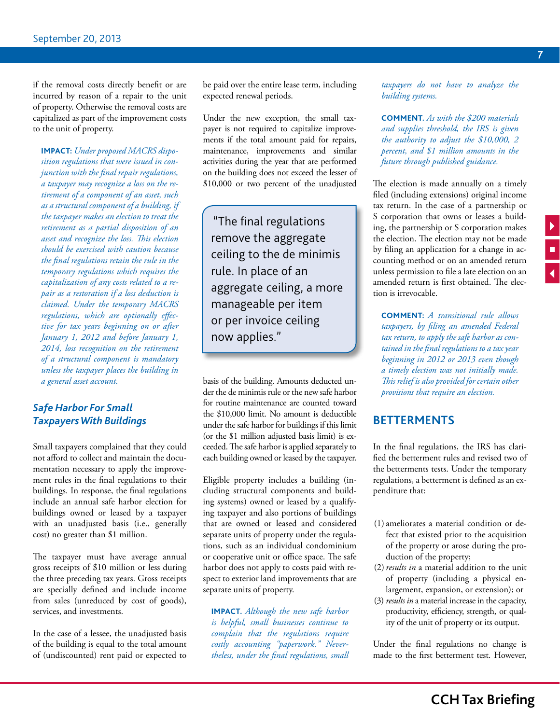<span id="page-6-0"></span>if the removal costs directly benefit or are incurred by reason of a repair to the unit of property. Otherwise the removal costs are capitalized as part of the improvement costs to the unit of property.

**IMPACT:** *Under proposed MACRS disposition regulations that were issued in conjunction with the final repair regulations, a taxpayer may recognize a loss on the retirement of a component of an asset, such as a structural component of a building, if the taxpayer makes an election to treat the retirement as a partial disposition of an asset and recognize the loss. This election should be exercised with caution because the final regulations retain the rule in the temporary regulations which requires the capitalization of any costs related to a repair as a restoration if a loss deduction is claimed. Under the temporary MACRS regulations, which are optionally effective for tax years beginning on or after January 1, 2012 and before January 1, 2014, loss recognition on the retirement of a structural component is mandatory unless the taxpayer places the building in a general asset account.* 

#### *Safe Harbor For Small Taxpayers With Buildings*

Small taxpayers complained that they could not afford to collect and maintain the documentation necessary to apply the improvement rules in the final regulations to their buildings. In response, the final regulations include an annual safe harbor election for buildings owned or leased by a taxpayer with an unadjusted basis (i.e., generally cost) no greater than \$1 million.

The taxpayer must have average annual gross receipts of \$10 million or less during the three preceding tax years. Gross receipts are specially defined and include income from sales (unreduced by cost of goods), services, and investments.

In the case of a lessee, the unadjusted basis of the building is equal to the total amount of (undiscounted) rent paid or expected to be paid over the entire lease term, including expected renewal periods.

Under the new exception, the small taxpayer is not required to capitalize improvements if the total amount paid for repairs, maintenance, improvements and similar activities during the year that are performed on the building does not exceed the lesser of \$10,000 or two percent of the unadjusted

"The final regulations remove the aggregate ceiling to the de minimis rule. In place of an aggregate ceiling, a more manageable per item or per invoice ceiling now applies."

basis of the building. Amounts deducted under the de minimis rule or the new safe harbor for routine maintenance are counted toward the \$10,000 limit. No amount is deductible under the safe harbor for buildings if this limit (or the \$1 million adjusted basis limit) is exceeded. The safe harbor is applied separately to each building owned or leased by the taxpayer.

Eligible property includes a building (including structural components and building systems) owned or leased by a qualifying taxpayer and also portions of buildings that are owned or leased and considered separate units of property under the regulations, such as an individual condominium or cooperative unit or office space. The safe harbor does not apply to costs paid with respect to exterior land improvements that are separate units of property.

**IMPACT.** *Although the new safe harbor is helpful, small businesses continue to complain that the regulations require costly accounting "paperwork." Nevertheless, under the final regulations, small*  *taxpayers do not have to analyze the building systems.* 

**Comment.** *As with the \$200 materials and supplies threshold, the IRS is given the authority to adjust the \$10,000, 2 percent, and \$1 million amounts in the future through published guidance.* 

The election is made annually on a timely filed (including extensions) original income tax return. In the case of a partnership or S corporation that owns or leases a building, the partnership or S corporation makes the election. The election may not be made by filing an application for a change in accounting method or on an amended return unless permission to file a late election on an amended return is first obtained. The election is irrevocable.

**Comment:** *A transitional rule allows taxpayers, by filing an amended Federal tax return, to apply the safe harbor as contained in the final regulations to a tax year beginning in 2012 or 2013 even though a timely election was not initially made. This relief is also provided for certain other provisions that require an election.*

#### **BETTERMENTS**

In the final regulations, the IRS has clarified the betterment rules and revised two of the betterments tests. Under the temporary regulations, a betterment is defined as an expenditure that:

- (1) ameliorates a material condition or defect that existed prior to the acquisition of the property or arose during the production of the property;
- (2)*results in* a material addition to the unit of property (including a physical enlargement, expansion, or extension); or
- (3) *results in* a material increase in the capacity, productivity, efficiency, strength, or quality of the unit of property or its output.

Under the final regulations no change is made to the first betterment test. However,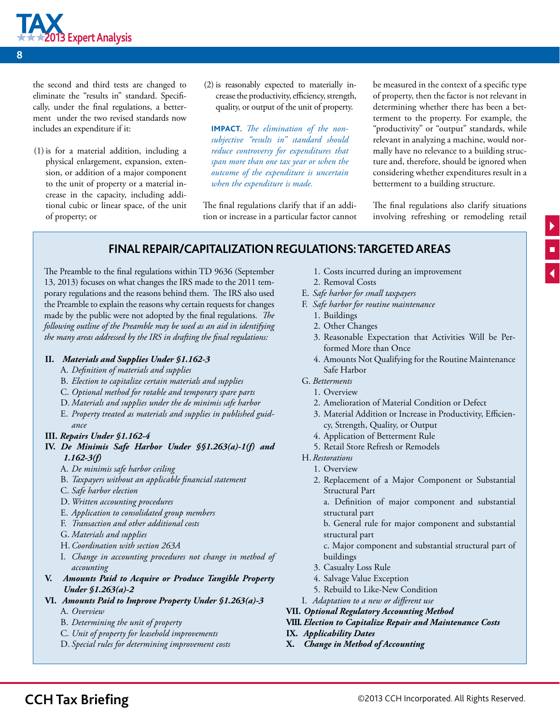

the second and third tests are changed to eliminate the "results in" standard. Specifically, under the final regulations, a betterment under the two revised standards now includes an expenditure if it:

- (1) is for a material addition, including a physical enlargement, expansion, extension, or addition of a major component to the unit of property or a material increase in the capacity, including additional cubic or linear space, of the unit of property; or
- (2) is reasonably expected to materially increase the productivity, efficiency, strength, quality, or output of the unit of property.

**IMPACT.** *The elimination of the nonsubjective "results in" standard should reduce controversy for expenditures that span more than one tax year or when the outcome of the expenditure is uncertain when the expenditure is made.*

The final regulations clarify that if an addition or increase in a particular factor cannot be measured in the context of a specific type of property, then the factor is not relevant in determining whether there has been a betterment to the property. For example, the "productivity" or "output" standards, while relevant in analyzing a machine, would normally have no relevance to a building structure and, therefore, should be ignored when considering whether expenditures result in a betterment to a building structure.

The final regulations also clarify situations involving refreshing or remodeling retail

#### **Final Repair/Capitalization Regulations: Targeted Areas**

The Preamble to the final regulations within TD 9636 (September 13, 2013) focuses on what changes the IRS made to the 2011 temporary regulations and the reasons behind them. The IRS also used the Preamble to explain the reasons why certain requests for changes made by the public were not adopted by the final regulations. *The following outline of the Preamble may be used as an aid in identifying the many areas addressed by the IRS in drafting the final regulations:* 

#### **II.** *Materials and Supplies Under [§1.162-3](file:///L:/FAST/ftw-top/TaxBriefings/13-September_Repair-Regs/Word%20docs/javascript:void(0))*

- A. *Definition of materials and supplies*
- B. *Election to capitalize certain materials and supplies*
- C. *Optional method for rotable and temporary spare parts*
- D. *Materials and supplies under the de minimis safe harbor*
- E. *Property treated as materials and supplies in published guidance*
- **III.** *Repairs Under [§1.162-4](file:///L:/FAST/ftw-top/TaxBriefings/13-September_Repair-Regs/Word%20docs/javascript:void(0))*
- **IV.** *De Minimis Safe Harbor Under [§§1.263\(a\)-1\(f\)](file:///L:/FAST/ftw-top/TaxBriefings/13-September_Repair-Regs/Word%20docs/javascript:void(0)) and 1.162-3(f)*
	- A. *De minimis safe harbor ceiling*
	- B. *Taxpayers without an applicable financial statement*
	- C. *Safe harbor election*
	- D. *Written accounting procedures*
	- E. *Application to consolidated group members*
	- F. *Transaction and other additional costs*
	- G. *Materials and supplies*
	- H.*Coordination with [section 263A](file:///L:/FAST/ftw-top/TaxBriefings/13-September_Repair-Regs/Word%20docs/javascript:void(0))*
	- I. *Change in accounting procedures not change in method of accounting*
- **V.** *Amounts Paid to Acquire or Produce Tangible Property Under [§1.263\(a\)-2](file:///L:/FAST/ftw-top/TaxBriefings/13-September_Repair-Regs/Word%20docs/javascript:void(0))*
- **VI.** *Amounts Paid to Improve Property Under [§1.263\(a\)-3](file:///L:/FAST/ftw-top/TaxBriefings/13-September_Repair-Regs/Word%20docs/javascript:void(0))*
	- A. *Overview*
	- B. *Determining the unit of property*
	- C. *Unit of property for leasehold improvements*
	- D. *Special rules for determining improvement costs*
- 1. Costs incurred during an improvement
- 2. Removal Costs
- E. *Safe harbor for small taxpayers*
- F. *Safe harbor for routine maintenance*
	- 1. Buildings
	- 2. Other Changes
	- 3. Reasonable Expectation that Activities Will be Performed More than Once
	- 4. Amounts Not Qualifying for the Routine Maintenance Safe Harbor
- G. *Betterments*
	- 1. Overview
	- 2. Amelioration of Material Condition or Defect
	- 3. Material Addition or Increase in Productivity, Efficiency, Strength, Quality, or Output
	- 4. Application of Betterment Rule
	- 5. Retail Store Refresh or Remodels
- H. *Restorations*
- 1. Overview
	- 2. Replacement of a Major Component or Substantial Structural Part
		- a. Definition of major component and substantial structural part
		- b. General rule for major component and substantial structural part

c. Major component and substantial structural part of buildings

- 3. Casualty Loss Rule
- 4. Salvage Value Exception
- 5. Rebuild to Like-New Condition
- I. *Adaptation to a new or different use*
- **VII.** *Optional Regulatory Accounting Method*

#### **VIII.** *Election to Capitalize Repair and Maintenance Costs*

- **IX.** *Applicability Dates*
- **X.** *Change in Method of Accounting*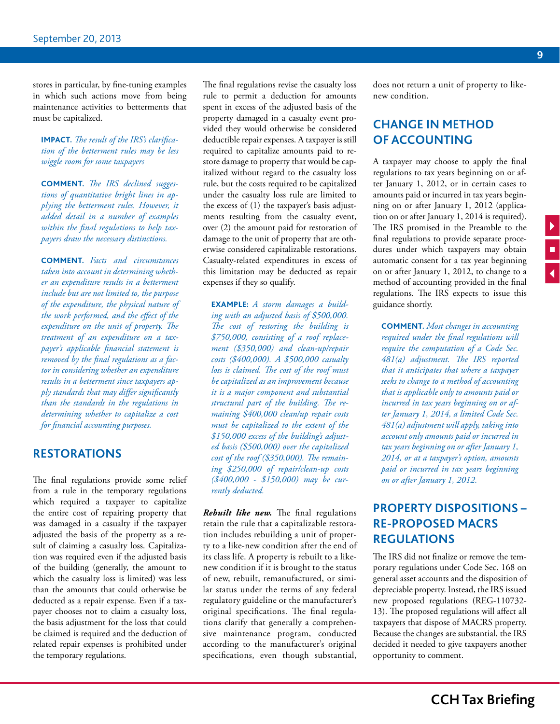<span id="page-8-0"></span>stores in particular, by fine-tuning examples in which such actions move from being maintenance activities to betterments that must be capitalized.

**IMPACT.** *The result of the IRS's clarification of the betterment rules may be less wiggle room for some taxpayers* 

**Comment.** *The IRS declined suggestions of quantitative bright lines in applying the betterment rules. However, it added detail in a number of examples within the final regulations to help taxpayers draw the necessary distinctions.*

**Comment.** *Facts and circumstances taken into account in determining whether an expenditure results in a betterment include but are not limited to, the purpose of the expenditure, the physical nature of the work performed, and the effect of the expenditure on the unit of property. The treatment of an expenditure on a taxpayer's applicable financial statement is removed by the final regulations as a factor in considering whether an expenditure results in a betterment since taxpayers apply standards that may differ significantly than the standards in the regulations in determining whether to capitalize a cost for financial accounting purposes.* 

#### **RESTORATIONS**

The final regulations provide some relief from a rule in the temporary regulations which required a taxpayer to capitalize the entire cost of repairing property that was damaged in a casualty if the taxpayer adjusted the basis of the property as a result of claiming a casualty loss. Capitalization was required even if the adjusted basis of the building (generally, the amount to which the casualty loss is limited) was less than the amounts that could otherwise be deducted as a repair expense. Even if a taxpayer chooses not to claim a casualty loss, the basis adjustment for the loss that could be claimed is required and the deduction of related repair expenses is prohibited under the temporary regulations.

The final regulations revise the casualty loss rule to permit a deduction for amounts spent in excess of the adjusted basis of the property damaged in a casualty event provided they would otherwise be considered deductible repair expenses. A taxpayer is still required to capitalize amounts paid to restore damage to property that would be capitalized without regard to the casualty loss rule, but the costs required to be capitalized under the casualty loss rule are limited to the excess of (1) the taxpayer's basis adjustments resulting from the casualty event, over (2) the amount paid for restoration of damage to the unit of property that are otherwise considered capitalizable restorations. Casualty-related expenditures in excess of this limitation may be deducted as repair expenses if they so qualify.

**Example:** *A storm damages a building with an adjusted basis of \$500,000. The cost of restoring the building is \$750,000, consisting of a roof replacement (\$350,000) and clean-up/repair costs (\$400,000). A \$500,000 casualty loss is claimed. The cost of the roof must be capitalized as an improvement because it is a major component and substantial structural part of the building. The remaining \$400,000 clean/up repair costs must be capitalized to the extent of the \$150,000 excess of the building's adjusted basis (\$500,000) over the capitalized cost of the roof (\$350,000). The remaining \$250,000 of repair/clean-up costs (\$400,000 - \$150,000) may be currently deducted.* 

*Rebuilt like new.* The final regulations retain the rule that a capitalizable restoration includes rebuilding a unit of property to a like-new condition after the end of its class life. A property is rebuilt to a likenew condition if it is brought to the status of new, rebuilt, remanufactured, or similar status under the terms of any federal regulatory guideline or the manufacturer's original specifications. The final regulations clarify that generally a comprehensive maintenance program, conducted according to the manufacturer's original specifications, even though substantial, does not return a unit of property to likenew condition.

# **CHANGE IN METHOD OF ACCOUNTING**

A taxpayer may choose to apply the final regulations to tax years beginning on or after January 1, 2012, or in certain cases to amounts paid or incurred in tax years beginning on or after January 1, 2012 (application on or after January 1, 2014 is required). The IRS promised in the Preamble to the final regulations to provide separate procedures under which taxpayers may obtain automatic consent for a tax year beginning on or after January 1, 2012, to change to a method of accounting provided in the final regulations. The IRS expects to issue this guidance shortly.

**Comment.** *Most changes in accounting required under the final regulations will require the computation of a Code Sec. 481(a) adjustment. The IRS reported that it anticipates that where a taxpayer seeks to change to a method of accounting that is applicable only to amounts paid or incurred in tax years beginning on or after January 1, 2014, a limited Code Sec. 481(a) adjustment will apply, taking into account only amounts paid or incurred in tax years beginning on or after January 1, 2014, or at a taxpayer's option, amounts paid or incurred in tax years beginning on or after January 1, 2012.*

# **PROPERTY DISPOSITIONS – RE-PROPOSED MACRS REGULATIONS**

The IRS did not finalize or remove the temporary regulations under Code Sec. 168 on general asset accounts and the disposition of depreciable property. Instead, the IRS issued new proposed regulations (REG-110732- 13). The proposed regulations will affect all taxpayers that dispose of MACRS property. Because the changes are substantial, the IRS decided it needed to give taxpayers another opportunity to comment.

 $\begin{array}{c|c|c|c} \hline \textbf{L} & \textbf{L} & \textbf{L} \\ \hline \textbf{L} & \textbf{L} & \textbf{L} \\ \hline \textbf{L} & \textbf{L} & \textbf{L} \\ \hline \end{array}$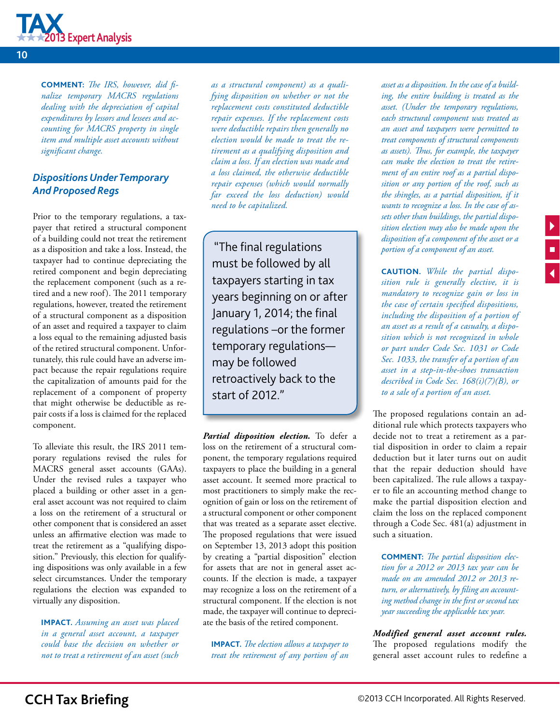

**COMMENT:** *The IRS, however, did finalize temporary MACRS regulations dealing with the depreciation of capital expenditures by lessors and lessees and accounting for MACRS property in single item and multiple asset accounts without significant change.*

#### *Dispositions Under Temporary And Proposed Regs*

Prior to the temporary regulations, a taxpayer that retired a structural component of a building could not treat the retirement as a disposition and take a loss. Instead, the taxpayer had to continue depreciating the retired component and begin depreciating the replacement component (such as a retired and a new roof). The 2011 temporary regulations, however, treated the retirement of a structural component as a disposition of an asset and required a taxpayer to claim a loss equal to the remaining adjusted basis of the retired structural component. Unfortunately, this rule could have an adverse impact because the repair regulations require the capitalization of amounts paid for the replacement of a component of property that might otherwise be deductible as repair costs if a loss is claimed for the replaced component.

To alleviate this result, the IRS 2011 temporary regulations revised the rules for MACRS general asset accounts (GAAs). Under the revised rules a taxpayer who placed a building or other asset in a general asset account was not required to claim a loss on the retirement of a structural or other component that is considered an asset unless an affirmative election was made to treat the retirement as a "qualifying disposition." Previously, this election for qualifying dispositions was only available in a few select circumstances. Under the temporary regulations the election was expanded to virtually any disposition.

**IMPACT.** *Assuming an asset was placed in a general asset account, a taxpayer could base the decision on whether or not to treat a retirement of an asset (such* 

*as a structural component) as a qualifying disposition on whether or not the replacement costs constituted deductible repair expenses. If the replacement costs were deductible repairs then generally no election would be made to treat the retirement as a qualifying disposition and claim a loss. If an election was made and a loss claimed, the otherwise deductible repair expenses (which would normally far exceed the loss deduction) would need to be capitalized.*

"The final regulations must be followed by all taxpayers starting in tax years beginning on or after January 1, 2014; the final regulations –or the former temporary regulations may be followed retroactively back to the start of 2012."

*Partial disposition election.* To defer a loss on the retirement of a structural component, the temporary regulations required taxpayers to place the building in a general asset account. It seemed more practical to most practitioners to simply make the recognition of gain or loss on the retirement of a structural component or other component that was treated as a separate asset elective. The proposed regulations that were issued on September 13, 2013 adopt this position by creating a "partial disposition" election for assets that are not in general asset accounts. If the election is made, a taxpayer may recognize a loss on the retirement of a structural component. If the election is not made, the taxpayer will continue to depreciate the basis of the retired component.

**IMPACT.** *The election allows a taxpayer to treat the retirement of any portion of an*  *asset as a disposition. In the case of a building, the entire building is treated as the asset. (Under the temporary regulations, each structural component was treated as an asset and taxpayers were permitted to treat components of structural components as assets). Thus, for example, the taxpayer can make the election to treat the retirement of an entire roof as a partial disposition or any portion of the roof, such as the shingles, as a partial disposition, if it wants to recognize a loss. In the case of assets other than buildings, the partial disposition election may also be made upon the disposition of a component of the asset or a portion of a component of an asset.*

**Caution.** *While the partial disposition rule is generally elective, it is mandatory to recognize gain or loss in the case of certain specified dispositions, including the disposition of a portion of an asset as a result of a casualty, a disposition which is not recognized in whole or part under Code Sec. 1031 or Code Sec. 1033, the transfer of a portion of an asset in a step-in-the-shoes transaction described in Code Sec. 168(i)(7)(B), or to a sale of a portion of an asset.*

The proposed regulations contain an additional rule which protects taxpayers who decide not to treat a retirement as a partial disposition in order to claim a repair deduction but it later turns out on audit that the repair deduction should have been capitalized. The rule allows a taxpayer to file an accounting method change to make the partial disposition election and claim the loss on the replaced component through a Code Sec. 481(a) adjustment in such a situation.

**COMMENT:** *The partial disposition election for a 2012 or 2013 tax year can be made on an amended 2012 or 2013 return, or alternatively, by filing an accounting method change in the first or second tax year succeeding the applicable tax year.*

*Modified general asset account rules.*  The proposed regulations modify the general asset account rules to redefine a